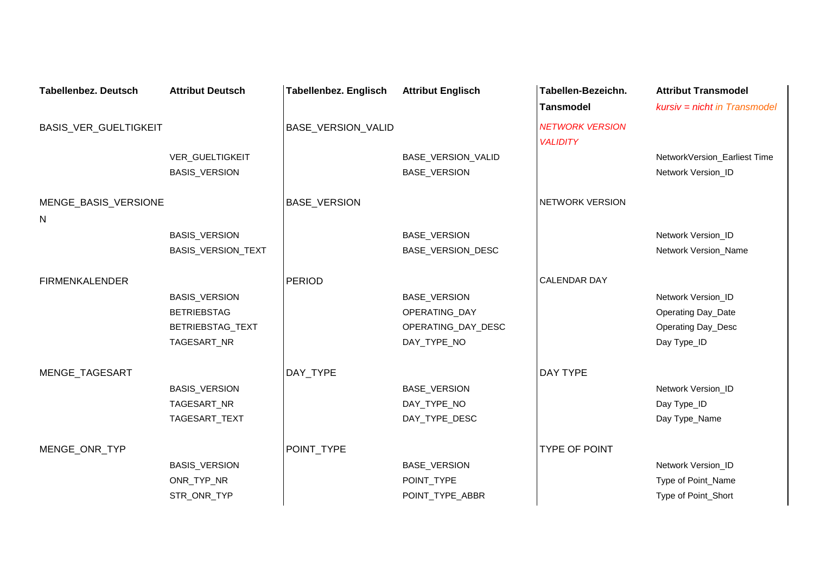| <b>Tabellenbez. Deutsch</b> | <b>Attribut Deutsch</b> | <b>Tabellenbez. Englisch</b> | <b>Attribut Englisch</b> | Tabellen-Bezeichn.     | <b>Attribut Transmodel</b>   |
|-----------------------------|-------------------------|------------------------------|--------------------------|------------------------|------------------------------|
|                             |                         |                              |                          | <b>Tansmodel</b>       | kursiv = nicht in Transmodel |
| BASIS_VER_GUELTIGKEIT       |                         | <b>BASE VERSION VALID</b>    |                          | <b>NETWORK VERSION</b> |                              |
|                             |                         |                              |                          | <b>VALIDITY</b>        |                              |
|                             | VER_GUELTIGKEIT         |                              | BASE_VERSION_VALID       |                        | NetworkVersion_Earliest Time |
|                             | <b>BASIS_VERSION</b>    |                              | BASE_VERSION             |                        | Network Version_ID           |
| MENGE_BASIS_VERSIONE        |                         | <b>BASE_VERSION</b>          |                          | NETWORK VERSION        |                              |
| N                           |                         |                              |                          |                        |                              |
|                             | <b>BASIS_VERSION</b>    |                              | BASE_VERSION             |                        | Network Version_ID           |
|                             | BASIS_VERSION_TEXT      |                              | BASE_VERSION_DESC        |                        | Network Version_Name         |
| <b>FIRMENKALENDER</b>       |                         | <b>PERIOD</b>                |                          | <b>CALENDAR DAY</b>    |                              |
|                             | <b>BASIS_VERSION</b>    |                              | BASE_VERSION             |                        | Network Version_ID           |
|                             | <b>BETRIEBSTAG</b>      |                              | OPERATING_DAY            |                        | Operating Day_Date           |
|                             | BETRIEBSTAG_TEXT        |                              | OPERATING_DAY_DESC       |                        | Operating Day_Desc           |
|                             | TAGESART_NR             |                              | DAY_TYPE_NO              |                        | Day Type_ID                  |
|                             |                         |                              |                          |                        |                              |
| MENGE_TAGESART              |                         | DAY_TYPE                     |                          | DAY TYPE               |                              |
|                             | <b>BASIS_VERSION</b>    |                              | BASE_VERSION             |                        | Network Version_ID           |
|                             | TAGESART_NR             |                              | DAY_TYPE_NO              |                        | Day Type_ID                  |
|                             | TAGESART_TEXT           |                              | DAY_TYPE_DESC            |                        | Day Type_Name                |
| MENGE_ONR_TYP               |                         | POINT TYPE                   |                          | <b>TYPE OF POINT</b>   |                              |
|                             | BASIS_VERSION           |                              | BASE_VERSION             |                        | Network Version_ID           |
|                             | ONR_TYP_NR              |                              | POINT_TYPE               |                        | Type of Point_Name           |
|                             | STR_ONR_TYP             |                              | POINT_TYPE_ABBR          |                        | Type of Point_Short          |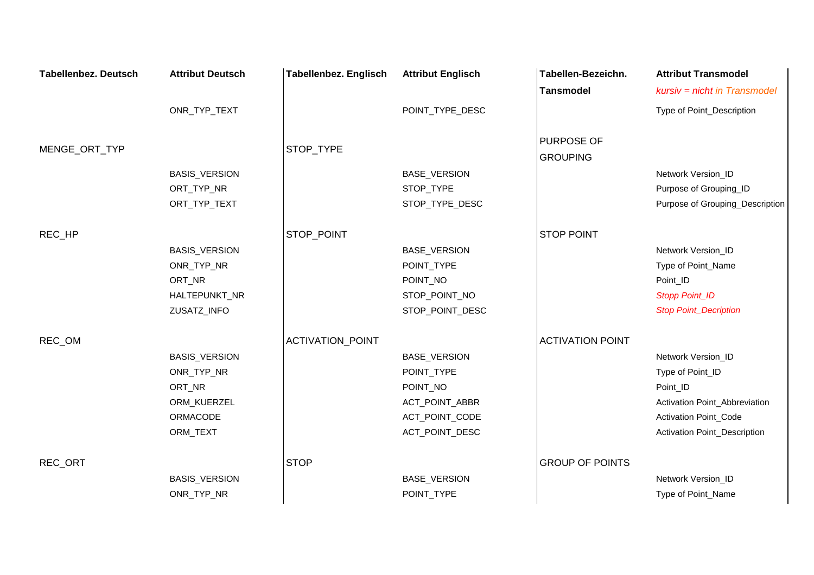| <b>Tabellenbez. Deutsch</b> | <b>Attribut Deutsch</b> | <b>Tabellenbez. Englisch</b> | <b>Attribut Englisch</b> | Tabellen-Bezeichn.      | <b>Attribut Transmodel</b>      |
|-----------------------------|-------------------------|------------------------------|--------------------------|-------------------------|---------------------------------|
|                             |                         |                              |                          | <b>Tansmodel</b>        | kursiv = nicht in Transmodel    |
|                             | ONR_TYP_TEXT            |                              | POINT_TYPE_DESC          |                         | Type of Point_Description       |
| MENGE_ORT_TYP               |                         | STOP TYPE                    |                          | <b>PURPOSE OF</b>       |                                 |
|                             |                         |                              |                          | <b>GROUPING</b>         |                                 |
|                             | BASIS_VERSION           |                              | BASE_VERSION             |                         | Network Version_ID              |
|                             | ORT_TYP_NR              |                              | STOP_TYPE                |                         | Purpose of Grouping_ID          |
|                             | ORT_TYP_TEXT            |                              | STOP_TYPE_DESC           |                         | Purpose of Grouping_Description |
| REC_HP                      |                         | STOP_POINT                   |                          | <b>STOP POINT</b>       |                                 |
|                             | <b>BASIS_VERSION</b>    |                              | <b>BASE_VERSION</b>      |                         | Network Version_ID              |
|                             | ONR_TYP_NR              |                              | POINT_TYPE               |                         | Type of Point_Name              |
|                             | ORT_NR                  |                              | POINT_NO                 |                         | Point_ID                        |
|                             | HALTEPUNKT_NR           |                              | STOP_POINT_NO            |                         | <b>Stopp Point_ID</b>           |
|                             | ZUSATZ_INFO             |                              | STOP_POINT_DESC          |                         | <b>Stop Point_Decription</b>    |
| REC_OM                      |                         | ACTIVATION_POINT             |                          | <b>ACTIVATION POINT</b> |                                 |
|                             | BASIS_VERSION           |                              | <b>BASE_VERSION</b>      |                         | Network Version_ID              |
|                             | ONR_TYP_NR              |                              | POINT_TYPE               |                         | Type of Point_ID                |
|                             | ORT_NR                  |                              | POINT_NO                 |                         | Point_ID                        |
|                             | ORM_KUERZEL             |                              | ACT_POINT_ABBR           |                         | Activation Point_Abbreviation   |
|                             | ORMACODE                |                              | ACT_POINT_CODE           |                         | Activation Point_Code           |
|                             | ORM_TEXT                |                              | ACT_POINT_DESC           |                         | Activation Point_Description    |
| REC_ORT                     |                         | <b>STOP</b>                  |                          | <b>GROUP OF POINTS</b>  |                                 |
|                             | BASIS_VERSION           |                              | BASE_VERSION             |                         | Network Version_ID              |
|                             | ONR_TYP_NR              |                              | POINT_TYPE               |                         | Type of Point_Name              |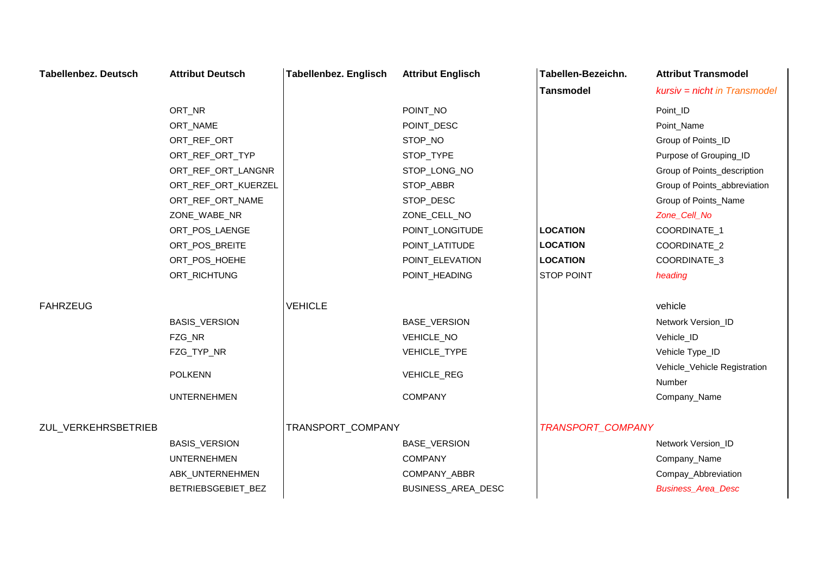| <b>Tabellenbez. Deutsch</b> | <b>Attribut Deutsch</b> | Tabellenbez. Englisch | <b>Attribut Englisch</b> | Tabellen-Bezeichn. | <b>Attribut Transmodel</b>   |
|-----------------------------|-------------------------|-----------------------|--------------------------|--------------------|------------------------------|
|                             |                         |                       |                          | <b>Tansmodel</b>   | kursiv = nicht in Transmodel |
|                             | ORT_NR                  |                       | POINT_NO                 |                    | Point_ID                     |
|                             | ORT_NAME                |                       | POINT_DESC               |                    | Point_Name                   |
|                             | ORT_REF_ORT             |                       | STOP_NO                  |                    | Group of Points_ID           |
|                             | ORT_REF_ORT_TYP         |                       | STOP_TYPE                |                    | Purpose of Grouping_ID       |
|                             | ORT_REF_ORT_LANGNR      |                       | STOP_LONG_NO             |                    | Group of Points_description  |
|                             | ORT_REF_ORT_KUERZEL     |                       | STOP_ABBR                |                    | Group of Points_abbreviation |
|                             | ORT_REF_ORT_NAME        |                       | STOP_DESC                |                    | Group of Points_Name         |
|                             | ZONE_WABE_NR            |                       | ZONE_CELL_NO             |                    | Zone_Cell_No                 |
|                             | ORT_POS_LAENGE          |                       | POINT_LONGITUDE          | <b>LOCATION</b>    | COORDINATE_1                 |
|                             | ORT_POS_BREITE          |                       | POINT_LATITUDE           | <b>LOCATION</b>    | COORDINATE_2                 |
|                             | ORT_POS_HOEHE           |                       | POINT_ELEVATION          | <b>LOCATION</b>    | COORDINATE_3                 |
|                             | ORT_RICHTUNG            |                       | POINT_HEADING            | STOP POINT         | heading                      |
| <b>FAHRZEUG</b>             |                         | <b>VEHICLE</b>        |                          |                    | vehicle                      |
|                             | <b>BASIS_VERSION</b>    |                       | BASE_VERSION             |                    | Network Version_ID           |
|                             | FZG_NR                  |                       | VEHICLE_NO               |                    | Vehicle_ID                   |
|                             | FZG_TYP_NR              |                       | VEHICLE_TYPE             |                    | Vehicle Type_ID              |
|                             |                         |                       |                          |                    | Vehicle_Vehicle Registration |
|                             | <b>POLKENN</b>          |                       | VEHICLE_REG              |                    | Number                       |
|                             | <b>UNTERNEHMEN</b>      |                       | <b>COMPANY</b>           |                    | Company_Name                 |
| ZUL_VERKEHRSBETRIEB         |                         | TRANSPORT_COMPANY     |                          | TRANSPORT_COMPANY  |                              |
|                             | <b>BASIS_VERSION</b>    |                       | BASE_VERSION             |                    | Network Version_ID           |
|                             | <b>UNTERNEHMEN</b>      |                       | <b>COMPANY</b>           |                    | Company_Name                 |
|                             | ABK_UNTERNEHMEN         |                       | COMPANY_ABBR             |                    | Compay_Abbreviation          |
|                             | BETRIEBSGEBIET_BEZ      |                       | BUSINESS_AREA_DESC       |                    | <b>Business_Area_Desc</b>    |
|                             |                         |                       |                          |                    |                              |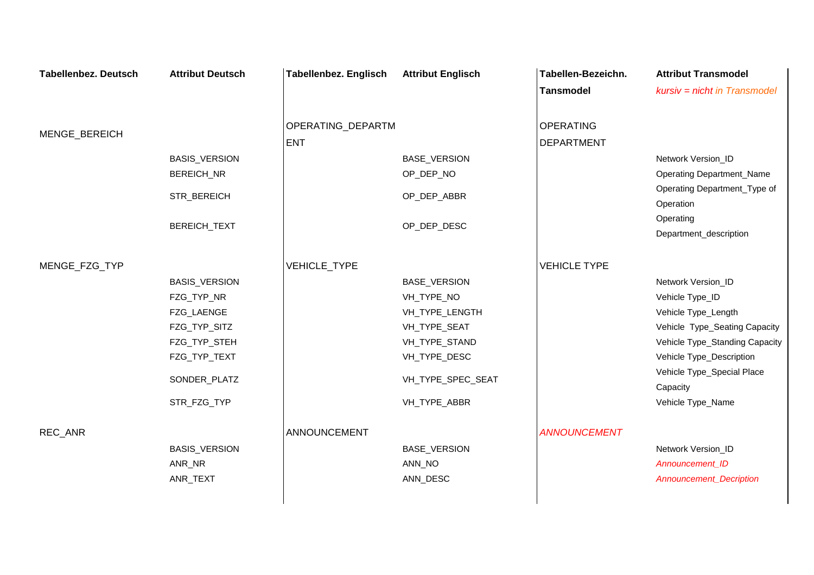| <b>Tabellenbez. Deutsch</b> | <b>Attribut Deutsch</b> | <b>Tabellenbez. Englisch</b> | <b>Attribut Englisch</b> | Tabellen-Bezeichn.  | <b>Attribut Transmodel</b>       |
|-----------------------------|-------------------------|------------------------------|--------------------------|---------------------|----------------------------------|
|                             |                         |                              |                          | <b>Tansmodel</b>    | $kursiv = nicht in Transmodel$   |
|                             |                         |                              |                          |                     |                                  |
|                             |                         | OPERATING_DEPARTM            |                          | <b>OPERATING</b>    |                                  |
| MENGE_BEREICH               |                         | <b>ENT</b>                   |                          | <b>DEPARTMENT</b>   |                                  |
|                             | <b>BASIS_VERSION</b>    |                              | <b>BASE_VERSION</b>      |                     | Network Version_ID               |
|                             | BEREICH_NR              |                              | OP_DEP_NO                |                     | <b>Operating Department_Name</b> |
|                             |                         |                              |                          |                     | Operating Department_Type of     |
|                             | STR_BEREICH             |                              | OP_DEP_ABBR              |                     | Operation                        |
|                             | BEREICH_TEXT            |                              | OP_DEP_DESC              |                     | Operating                        |
|                             |                         |                              |                          |                     | Department_description           |
|                             |                         |                              |                          |                     |                                  |
| MENGE_FZG_TYP               |                         | VEHICLE_TYPE                 |                          | <b>VEHICLE TYPE</b> |                                  |
|                             | BASIS_VERSION           |                              | <b>BASE_VERSION</b>      |                     | Network Version_ID               |
|                             | FZG_TYP_NR              |                              | VH_TYPE_NO               |                     | Vehicle Type_ID                  |
|                             | FZG_LAENGE              |                              | VH_TYPE_LENGTH           |                     | Vehicle Type_Length              |
|                             | FZG_TYP_SITZ            |                              | VH_TYPE_SEAT             |                     | Vehicle Type_Seating Capacity    |
|                             | FZG_TYP_STEH            |                              | VH_TYPE_STAND            |                     | Vehicle Type_Standing Capacity   |
|                             | FZG_TYP_TEXT            |                              | VH_TYPE_DESC             |                     | Vehicle Type_Description         |
|                             | SONDER_PLATZ            |                              | VH_TYPE_SPEC_SEAT        |                     | Vehicle Type_Special Place       |
|                             |                         |                              |                          |                     | Capacity                         |
|                             | STR_FZG_TYP             |                              | VH_TYPE_ABBR             |                     | Vehicle Type_Name                |
|                             |                         |                              |                          |                     |                                  |
| REC_ANR                     |                         | ANNOUNCEMENT                 |                          | <b>ANNOUNCEMENT</b> |                                  |
|                             | <b>BASIS_VERSION</b>    |                              | <b>BASE_VERSION</b>      |                     | Network Version_ID               |
|                             | ANR_NR                  |                              | ANN_NO                   |                     | Announcement_ID                  |
|                             | ANR_TEXT                |                              | ANN_DESC                 |                     | <b>Announcement_Decription</b>   |
|                             |                         |                              |                          |                     |                                  |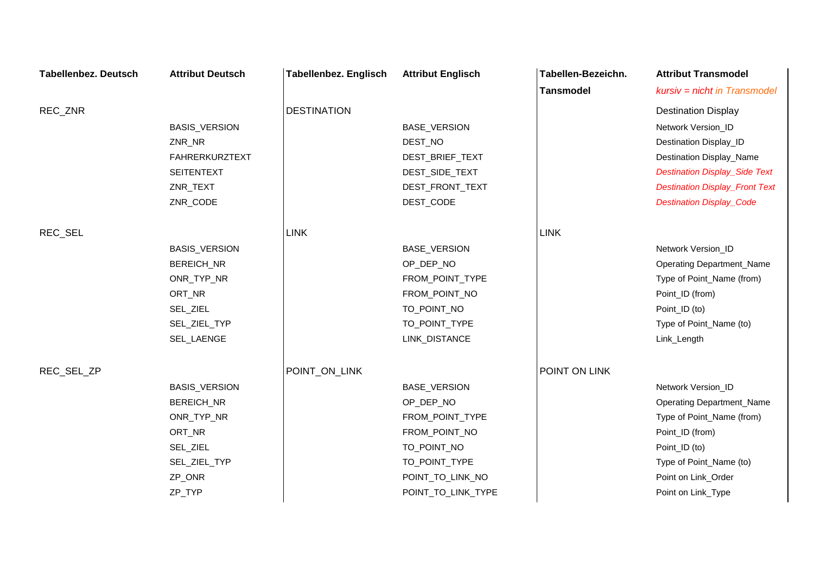| <b>Tabellenbez. Deutsch</b> | <b>Attribut Deutsch</b> | <b>Tabellenbez. Englisch</b> | <b>Attribut Englisch</b> | Tabellen-Bezeichn. | <b>Attribut Transmodel</b>            |
|-----------------------------|-------------------------|------------------------------|--------------------------|--------------------|---------------------------------------|
|                             |                         |                              |                          | <b>Tansmodel</b>   | kursiv = nicht in Transmodel          |
| REC_ZNR                     |                         | <b>DESTINATION</b>           |                          |                    | <b>Destination Display</b>            |
|                             | <b>BASIS_VERSION</b>    |                              | BASE_VERSION             |                    | Network Version_ID                    |
|                             | ZNR_NR                  |                              | DEST_NO                  |                    | Destination Display_ID                |
|                             | <b>FAHRERKURZTEXT</b>   |                              | DEST_BRIEF_TEXT          |                    | Destination Display_Name              |
|                             | <b>SEITENTEXT</b>       |                              | DEST_SIDE_TEXT           |                    | <b>Destination Display_Side Text</b>  |
|                             | ZNR_TEXT                |                              | DEST_FRONT_TEXT          |                    | <b>Destination Display_Front Text</b> |
|                             | ZNR_CODE                |                              | DEST_CODE                |                    | <b>Destination Display_Code</b>       |
| REC_SEL                     |                         | <b>LINK</b>                  |                          | <b>LINK</b>        |                                       |
|                             | BASIS_VERSION           |                              | BASE_VERSION             |                    | Network Version_ID                    |
|                             | BEREICH_NR              |                              | OP_DEP_NO                |                    | <b>Operating Department_Name</b>      |
|                             | ONR_TYP_NR              |                              | FROM_POINT_TYPE          |                    | Type of Point_Name (from)             |
|                             | ORT_NR                  |                              | FROM_POINT_NO            |                    | Point_ID (from)                       |
|                             | SEL_ZIEL                |                              | TO_POINT_NO              |                    | Point_ID (to)                         |
|                             | SEL_ZIEL_TYP            |                              | TO_POINT_TYPE            |                    | Type of Point_Name (to)               |
|                             | SEL_LAENGE              |                              | LINK_DISTANCE            |                    | Link_Length                           |
| REC_SEL_ZP                  |                         | POINT_ON_LINK                |                          | POINT ON LINK      |                                       |
|                             | <b>BASIS_VERSION</b>    |                              | BASE_VERSION             |                    | Network Version_ID                    |
|                             | BEREICH_NR              |                              | OP_DEP_NO                |                    | <b>Operating Department_Name</b>      |
|                             | ONR_TYP_NR              |                              | FROM_POINT_TYPE          |                    | Type of Point_Name (from)             |
|                             | ORT_NR                  |                              | FROM_POINT_NO            |                    | Point_ID (from)                       |
|                             | SEL_ZIEL                |                              | TO_POINT_NO              |                    | Point_ID (to)                         |
|                             | SEL_ZIEL_TYP            |                              | TO_POINT_TYPE            |                    | Type of Point_Name (to)               |
|                             | ZP_ONR                  |                              | POINT_TO_LINK_NO         |                    | Point on Link_Order                   |
|                             | ZP_TYP                  |                              | POINT_TO_LINK_TYPE       |                    | Point on Link_Type                    |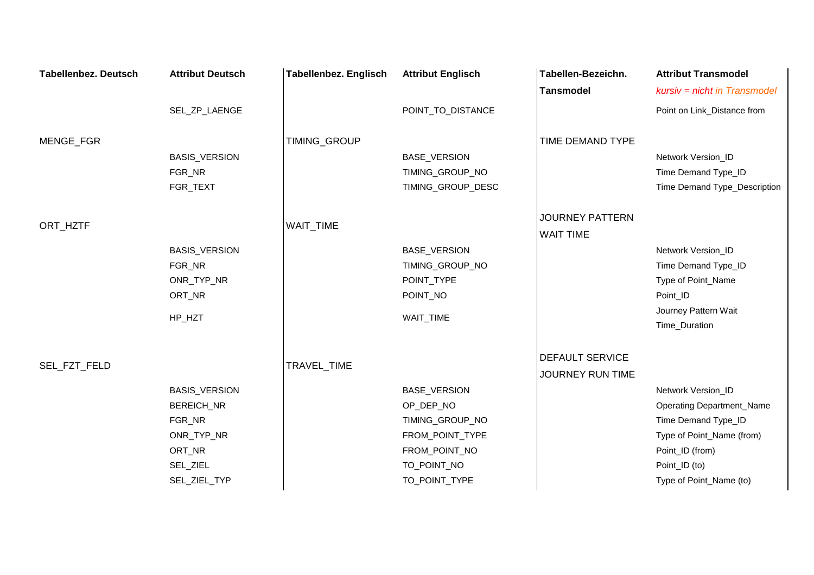| <b>Tabellenbez. Deutsch</b> | <b>Attribut Deutsch</b> | <b>Tabellenbez. Englisch</b> | <b>Attribut Englisch</b> | Tabellen-Bezeichn.                         | <b>Attribut Transmodel</b>       |
|-----------------------------|-------------------------|------------------------------|--------------------------|--------------------------------------------|----------------------------------|
|                             |                         |                              |                          | <b>Tansmodel</b>                           | kursiv = nicht in Transmodel     |
|                             | SEL_ZP_LAENGE           |                              | POINT_TO_DISTANCE        |                                            | Point on Link_Distance from      |
| MENGE_FGR                   |                         | TIMING_GROUP                 |                          | TIME DEMAND TYPE                           |                                  |
|                             | BASIS_VERSION           |                              | BASE_VERSION             |                                            | Network Version_ID               |
|                             | FGR_NR                  |                              | TIMING_GROUP_NO          |                                            | Time Demand Type_ID              |
|                             | FGR_TEXT                |                              | TIMING_GROUP_DESC        |                                            | Time Demand Type_Description     |
| ORT_HZTF                    |                         | WAIT_TIME                    |                          | <b>JOURNEY PATTERN</b><br><b>WAIT TIME</b> |                                  |
|                             | BASIS_VERSION           |                              | BASE_VERSION             |                                            | Network Version_ID               |
|                             | FGR_NR                  |                              | TIMING_GROUP_NO          |                                            | Time Demand Type_ID              |
|                             | ONR_TYP_NR              |                              | POINT_TYPE               |                                            | Type of Point_Name               |
|                             | ORT_NR                  |                              | POINT_NO                 |                                            | Point_ID                         |
|                             |                         |                              |                          |                                            | Journey Pattern Wait             |
|                             | HP_HZT                  |                              | WAIT_TIME                |                                            | Time_Duration                    |
|                             |                         |                              |                          | <b>DEFAULT SERVICE</b>                     |                                  |
| SEL_FZT_FELD                |                         | TRAVEL_TIME                  |                          | JOURNEY RUN TIME                           |                                  |
|                             | BASIS_VERSION           |                              | <b>BASE_VERSION</b>      |                                            | Network Version_ID               |
|                             | BEREICH_NR              |                              | OP_DEP_NO                |                                            | <b>Operating Department_Name</b> |
|                             | FGR_NR                  |                              | TIMING_GROUP_NO          |                                            | Time Demand Type_ID              |
|                             | ONR_TYP_NR              |                              | FROM_POINT_TYPE          |                                            | Type of Point_Name (from)        |
|                             | ORT_NR                  |                              | FROM_POINT_NO            |                                            | Point_ID (from)                  |
|                             | SEL_ZIEL                |                              | TO_POINT_NO              |                                            | Point_ID (to)                    |
|                             | SEL_ZIEL_TYP            |                              | TO_POINT_TYPE            |                                            | Type of Point_Name (to)          |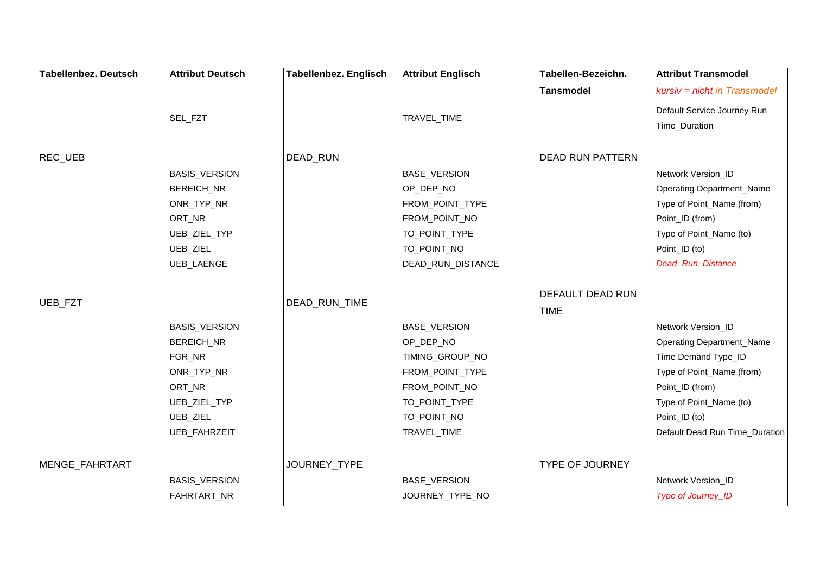| <b>Tabellenbez. Deutsch</b> | <b>Attribut Deutsch</b> | <b>Tabellenbez. Englisch</b> | <b>Attribut Englisch</b> | Tabellen-Bezeichn.      | <b>Attribut Transmodel</b>       |
|-----------------------------|-------------------------|------------------------------|--------------------------|-------------------------|----------------------------------|
|                             |                         |                              |                          | <b>Tansmodel</b>        | kursiv = nicht in Transmodel     |
|                             |                         |                              |                          |                         | Default Service Journey Run      |
|                             | SEL_FZT                 |                              | TRAVEL_TIME              |                         | Time_Duration                    |
| REC_UEB                     |                         | DEAD_RUN                     |                          | <b>DEAD RUN PATTERN</b> |                                  |
|                             | BASIS_VERSION           |                              | BASE_VERSION             |                         | Network Version_ID               |
|                             | BEREICH_NR              |                              | OP_DEP_NO                |                         | <b>Operating Department_Name</b> |
|                             | ONR_TYP_NR              |                              | FROM_POINT_TYPE          |                         | Type of Point_Name (from)        |
|                             | ORT_NR                  |                              | FROM_POINT_NO            |                         | Point_ID (from)                  |
|                             | UEB_ZIEL_TYP            |                              | TO_POINT_TYPE            |                         | Type of Point_Name (to)          |
|                             | UEB_ZIEL                |                              | TO_POINT_NO              |                         | Point_ID (to)                    |
|                             | UEB_LAENGE              |                              | DEAD_RUN_DISTANCE        |                         | Dead_Run_Distance                |
|                             |                         |                              |                          | DEFAULT DEAD RUN        |                                  |
| UEB_FZT                     |                         | DEAD_RUN_TIME                |                          | <b>TIME</b>             |                                  |
|                             | <b>BASIS_VERSION</b>    |                              | BASE_VERSION             |                         | Network Version_ID               |
|                             | <b>BEREICH_NR</b>       |                              | OP_DEP_NO                |                         | <b>Operating Department_Name</b> |
|                             | FGR_NR                  |                              | TIMING_GROUP_NO          |                         | Time Demand Type_ID              |
|                             | ONR_TYP_NR              |                              | FROM_POINT_TYPE          |                         | Type of Point_Name (from)        |
|                             | ORT_NR                  |                              | FROM_POINT_NO            |                         | Point_ID (from)                  |
|                             | UEB_ZIEL_TYP            |                              | TO_POINT_TYPE            |                         | Type of Point_Name (to)          |
|                             | UEB_ZIEL                |                              | TO_POINT_NO              |                         | Point_ID (to)                    |
|                             | UEB_FAHRZEIT            |                              | TRAVEL_TIME              |                         | Default Dead Run Time_Duration   |
| MENGE_FAHRTART              |                         | JOURNEY TYPE                 |                          | <b>TYPE OF JOURNEY</b>  |                                  |
|                             | <b>BASIS_VERSION</b>    |                              | BASE_VERSION             |                         | Network Version_ID               |
|                             | FAHRTART_NR             |                              | JOURNEY_TYPE_NO          |                         | Type of Journey_ID               |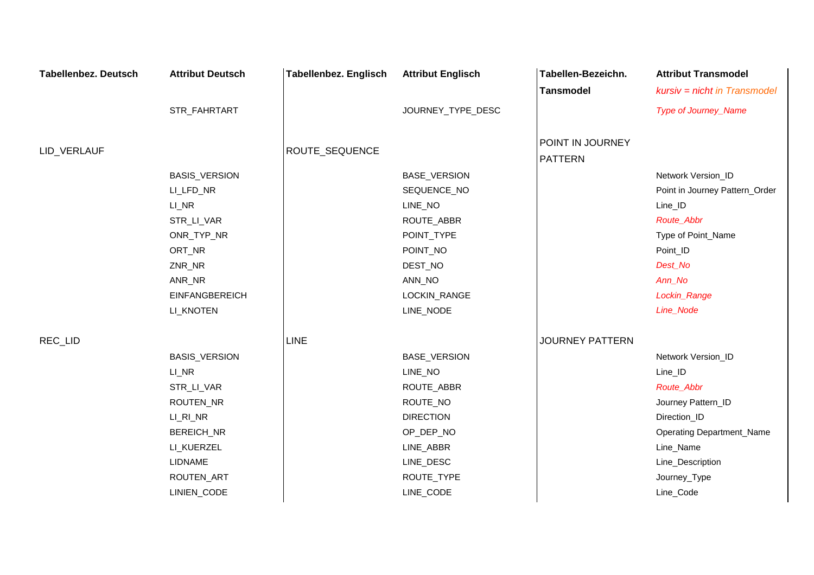| <b>Tabellenbez. Deutsch</b> | <b>Attribut Deutsch</b> | <b>Tabellenbez. Englisch</b> | <b>Attribut Englisch</b> | Tabellen-Bezeichn.     | <b>Attribut Transmodel</b>       |
|-----------------------------|-------------------------|------------------------------|--------------------------|------------------------|----------------------------------|
|                             |                         |                              |                          | <b>Tansmodel</b>       | $kursiv = nicht in Transmodel$   |
|                             | STR_FAHRTART            |                              | JOURNEY_TYPE_DESC        |                        | Type of Journey_Name             |
|                             |                         |                              |                          |                        |                                  |
| LID_VERLAUF                 |                         | ROUTE_SEQUENCE               |                          | POINT IN JOURNEY       |                                  |
|                             |                         |                              |                          | <b>PATTERN</b>         |                                  |
|                             | BASIS_VERSION           |                              | BASE_VERSION             |                        | Network Version_ID               |
|                             | LI_LFD_NR               |                              | SEQUENCE_NO              |                        | Point in Journey Pattern_Order   |
|                             | LI_NR                   |                              | LINE_NO                  |                        | Line_ID                          |
|                             | STR_LI_VAR              |                              | ROUTE_ABBR               |                        | Route_Abbr                       |
|                             | ONR_TYP_NR              |                              | POINT_TYPE               |                        | Type of Point_Name               |
|                             | ORT_NR                  |                              | POINT_NO                 |                        | Point_ID                         |
|                             | ZNR_NR                  |                              | DEST_NO                  |                        | Dest_No                          |
|                             | ANR_NR                  |                              | ANN_NO                   |                        | Ann_No                           |
|                             | <b>EINFANGBEREICH</b>   |                              | LOCKIN_RANGE             |                        | Lockin_Range                     |
|                             | LI_KNOTEN               |                              | LINE_NODE                |                        | Line_Node                        |
| REC_LID                     |                         | <b>LINE</b>                  |                          | <b>JOURNEY PATTERN</b> |                                  |
|                             | BASIS_VERSION           |                              | BASE_VERSION             |                        | Network Version_ID               |
|                             | $LI$ <sub>NR</sub>      |                              | LINE_NO                  |                        | Line_ID                          |
|                             | STR_LI_VAR              |                              | ROUTE_ABBR               |                        | Route_Abbr                       |
|                             | ROUTEN_NR               |                              | ROUTE_NO                 |                        | Journey Pattern_ID               |
|                             | LI_RI_NR                |                              | <b>DIRECTION</b>         |                        | Direction_ID                     |
|                             | BEREICH_NR              |                              | OP_DEP_NO                |                        | <b>Operating Department_Name</b> |
|                             | LI_KUERZEL              |                              | LINE_ABBR                |                        | Line_Name                        |
|                             | LIDNAME                 |                              | LINE_DESC                |                        | Line_Description                 |
|                             | ROUTEN_ART              |                              | ROUTE_TYPE               |                        | Journey_Type                     |
|                             | LINIEN_CODE             |                              | LINE_CODE                |                        | Line_Code                        |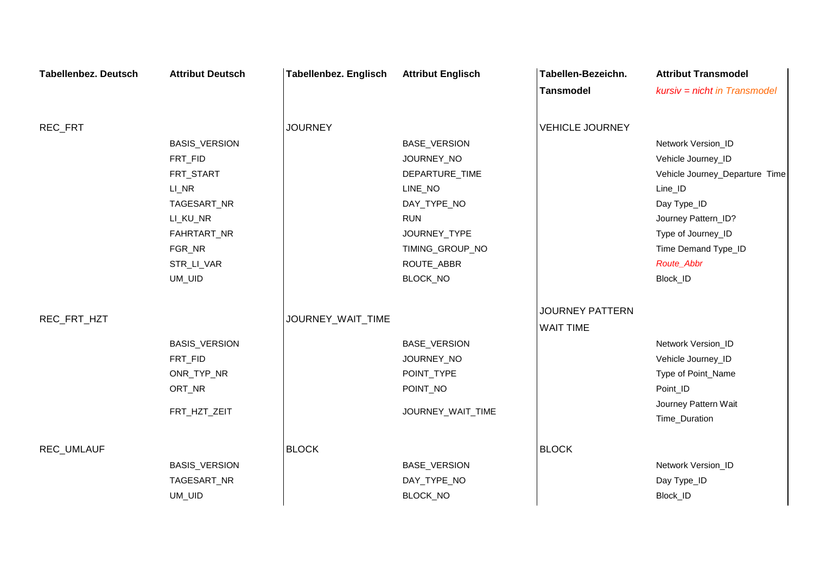| <b>Tabellenbez. Deutsch</b> | <b>Attribut Deutsch</b>                                                                                                    | <b>Tabellenbez. Englisch</b> | <b>Attribut Englisch</b>                                                                                                                                 | Tabellen-Bezeichn.                         | <b>Attribut Transmodel</b>                                                                                                                                                                         |
|-----------------------------|----------------------------------------------------------------------------------------------------------------------------|------------------------------|----------------------------------------------------------------------------------------------------------------------------------------------------------|--------------------------------------------|----------------------------------------------------------------------------------------------------------------------------------------------------------------------------------------------------|
|                             |                                                                                                                            |                              |                                                                                                                                                          | <b>Tansmodel</b>                           | $kursiv = nicht in Transmodel$                                                                                                                                                                     |
| REC_FRT                     |                                                                                                                            | <b>JOURNEY</b>               |                                                                                                                                                          | <b>VEHICLE JOURNEY</b>                     |                                                                                                                                                                                                    |
|                             | BASIS_VERSION<br>FRT_FID<br>FRT_START<br>LI_NR<br>TAGESART_NR<br>LI_KU_NR<br>FAHRTART_NR<br>FGR_NR<br>STR_LI_VAR<br>UM_UID |                              | <b>BASE_VERSION</b><br>JOURNEY_NO<br>DEPARTURE_TIME<br>LINE_NO<br>DAY_TYPE_NO<br><b>RUN</b><br>JOURNEY_TYPE<br>TIMING_GROUP_NO<br>ROUTE_ABBR<br>BLOCK_NO |                                            | Network Version_ID<br>Vehicle Journey_ID<br>Vehicle Journey_Departure Time<br>Line_ID<br>Day Type_ID<br>Journey Pattern_ID?<br>Type of Journey_ID<br>Time Demand Type_ID<br>Route_Abbr<br>Block_ID |
| REC_FRT_HZT                 | BASIS_VERSION<br>FRT_FID<br>ONR_TYP_NR<br>ORT_NR<br>FRT_HZT_ZEIT                                                           | JOURNEY_WAIT_TIME            | BASE_VERSION<br>JOURNEY_NO<br>POINT_TYPE<br>POINT_NO<br>JOURNEY_WAIT_TIME                                                                                | <b>JOURNEY PATTERN</b><br><b>WAIT TIME</b> | Network Version_ID<br>Vehicle Journey_ID<br>Type of Point_Name<br>Point_ID<br>Journey Pattern Wait<br>Time_Duration                                                                                |
| REC_UMLAUF                  | BASIS_VERSION<br>TAGESART_NR<br>UM_UID                                                                                     | <b>BLOCK</b>                 | BASE_VERSION<br>DAY_TYPE_NO<br>BLOCK_NO                                                                                                                  | <b>BLOCK</b>                               | Network Version_ID<br>Day Type_ID<br>Block_ID                                                                                                                                                      |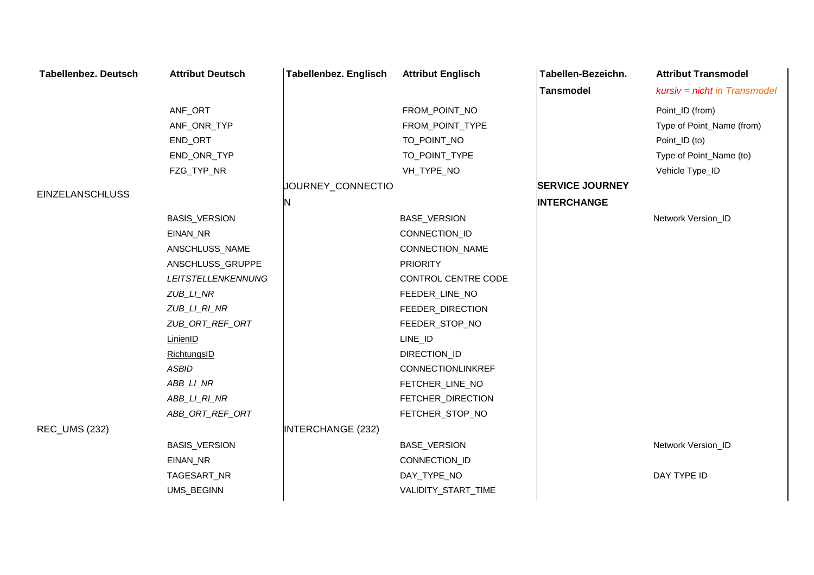| <b>Tabellenbez. Deutsch</b> | <b>Attribut Deutsch</b>   | <b>Tabellenbez. Englisch</b> | <b>Attribut Englisch</b> | Tabellen-Bezeichn.     | <b>Attribut Transmodel</b>   |
|-----------------------------|---------------------------|------------------------------|--------------------------|------------------------|------------------------------|
|                             |                           |                              |                          | <b>Tansmodel</b>       | kursiv = nicht in Transmodel |
|                             | ANF_ORT                   |                              | FROM_POINT_NO            |                        | Point_ID (from)              |
|                             | ANF_ONR_TYP               |                              | FROM_POINT_TYPE          |                        | Type of Point_Name (from)    |
|                             | END_ORT                   |                              | TO_POINT_NO              |                        | Point_ID (to)                |
|                             | END_ONR_TYP               |                              | TO_POINT_TYPE            |                        | Type of Point_Name (to)      |
|                             | FZG_TYP_NR                |                              | VH_TYPE_NO               |                        | Vehicle Type_ID              |
|                             |                           | JOURNEY_CONNECTIO            |                          | <b>SERVICE JOURNEY</b> |                              |
| <b>EINZELANSCHLUSS</b>      |                           | N                            |                          | <b>INTERCHANGE</b>     |                              |
|                             | <b>BASIS_VERSION</b>      |                              | BASE_VERSION             |                        | Network Version_ID           |
|                             | EINAN_NR                  |                              | CONNECTION_ID            |                        |                              |
|                             | ANSCHLUSS_NAME            |                              | CONNECTION_NAME          |                        |                              |
|                             | ANSCHLUSS_GRUPPE          |                              | <b>PRIORITY</b>          |                        |                              |
|                             | <b>LEITSTELLENKENNUNG</b> |                              | CONTROL CENTRE CODE      |                        |                              |
|                             | ZUB_LI_NR                 |                              | FEEDER_LINE_NO           |                        |                              |
|                             | ZUB_LI_RI_NR              |                              | FEEDER_DIRECTION         |                        |                              |
|                             | ZUB_ORT_REF_ORT           |                              | FEEDER_STOP_NO           |                        |                              |
|                             | LinienID                  |                              | LINE_ID                  |                        |                              |
|                             | RichtungsID               |                              | DIRECTION_ID             |                        |                              |
|                             | <b>ASBID</b>              |                              | CONNECTIONLINKREF        |                        |                              |
|                             | ABB_LI_NR                 |                              | FETCHER_LINE_NO          |                        |                              |
|                             | ABB_LI_RI_NR              |                              | FETCHER_DIRECTION        |                        |                              |
|                             | ABB_ORT_REF_ORT           |                              | FETCHER_STOP_NO          |                        |                              |
| <b>REC_UMS (232)</b>        |                           | <b>INTERCHANGE (232)</b>     |                          |                        |                              |
|                             | <b>BASIS_VERSION</b>      |                              | BASE_VERSION             |                        | Network Version_ID           |
|                             | EINAN_NR                  |                              | CONNECTION_ID            |                        |                              |
|                             | TAGESART_NR               |                              | DAY_TYPE_NO              |                        | DAY TYPE ID                  |
|                             | UMS_BEGINN                |                              | VALIDITY_START_TIME      |                        |                              |